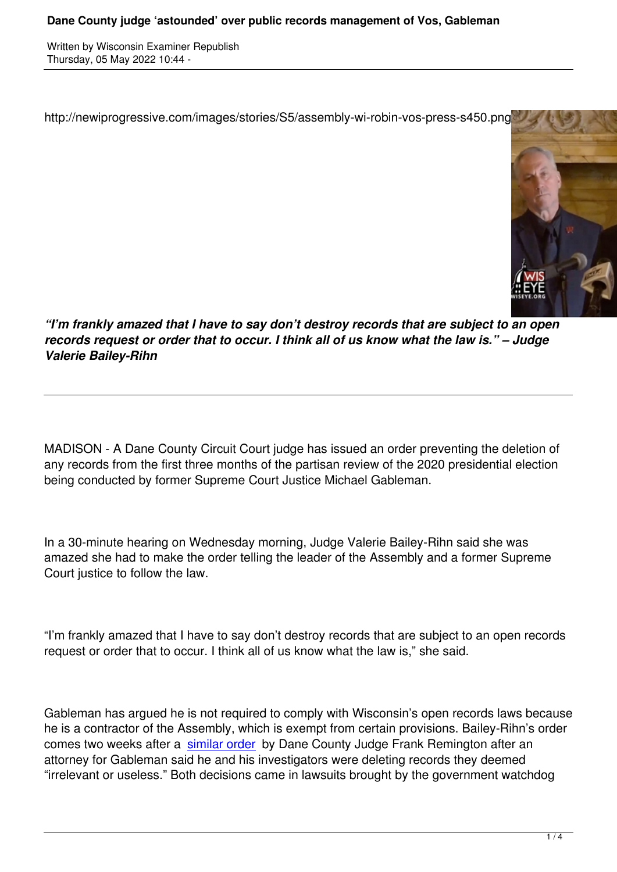http://newiprogressive.com/images/stories/S5/assembly-wi-robin-vos-press-s450.png



*"I'm frankly amazed that I have to say don't destroy records that are subject to an open records request or order that to occur. I think all of us know what the law is." – Judge Valerie Bailey-Rihn*

MADISON - A Dane County Circuit Court judge has issued an order preventing the deletion of any records from the first three months of the partisan review of the 2020 presidential election being conducted by former Supreme Court Justice Michael Gableman.

In a 30-minute hearing on Wednesday morning, Judge Valerie Bailey-Rihn said she was amazed she had to make the order telling the leader of the Assembly and a former Supreme Court justice to follow the law.

"I'm frankly amazed that I have to say don't destroy records that are subject to an open records request or order that to occur. I think all of us know what the law is," she said.

Gableman has argued he is not required to comply with Wisconsin's open records laws because he is a contractor of the Assembly, which is exempt from certain provisions. Bailey-Rihn's order comes two weeks after a similar order by Dane County Judge Frank Remington after an attorney for Gableman said he and his investigators were deleting records they deemed "irrelevant or useless." Both decisions came in lawsuits brought by the government watchdog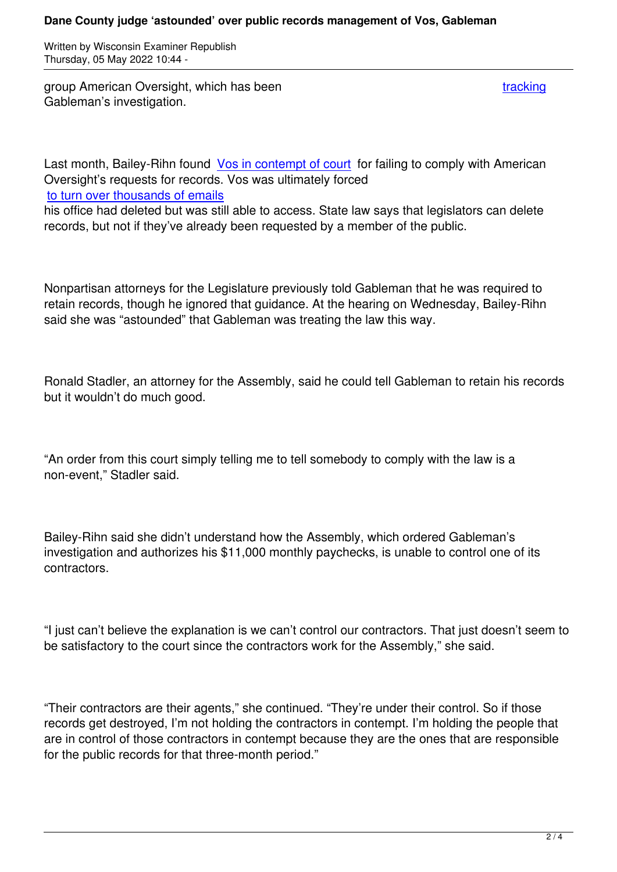group American Oversight, which has been tracking the state of the tracking tracking Gableman's investigation.

Last month, Bailey-Rihn found Vos in contempt of court for failing to comply with American Oversight's requests for records. Vos was ultimately forced to turn over thousands of emails

his office had deleted but was [still able to access. State](https://wisconsinexaminer.com/2022/03/30/vos-assembly-cited-for-contempt-after-not-turning-over-election-review-records/) law says that legislators can delete records, but not if they've already been requested by a member of the public.

Nonpartisan attorneys for the Legislature previously told Gableman that he was required to retain records, though he ignored that guidance. At the hearing on Wednesday, Bailey-Rihn said she was "astounded" that Gableman was treating the law this way.

Ronald Stadler, an attorney for the Assembly, said he could tell Gableman to retain his records but it wouldn't do much good.

"An order from this court simply telling me to tell somebody to comply with the law is a non-event," Stadler said.

Bailey-Rihn said she didn't understand how the Assembly, which ordered Gableman's investigation and authorizes his \$11,000 monthly paychecks, is unable to control one of its contractors.

"I just can't believe the explanation is we can't control our contractors. That just doesn't seem to be satisfactory to the court since the contractors work for the Assembly," she said.

"Their contractors are their agents," she continued. "They're under their control. So if those records get destroyed, I'm not holding the contractors in contempt. I'm holding the people that are in control of those contractors in contempt because they are the ones that are responsible for the public records for that three-month period."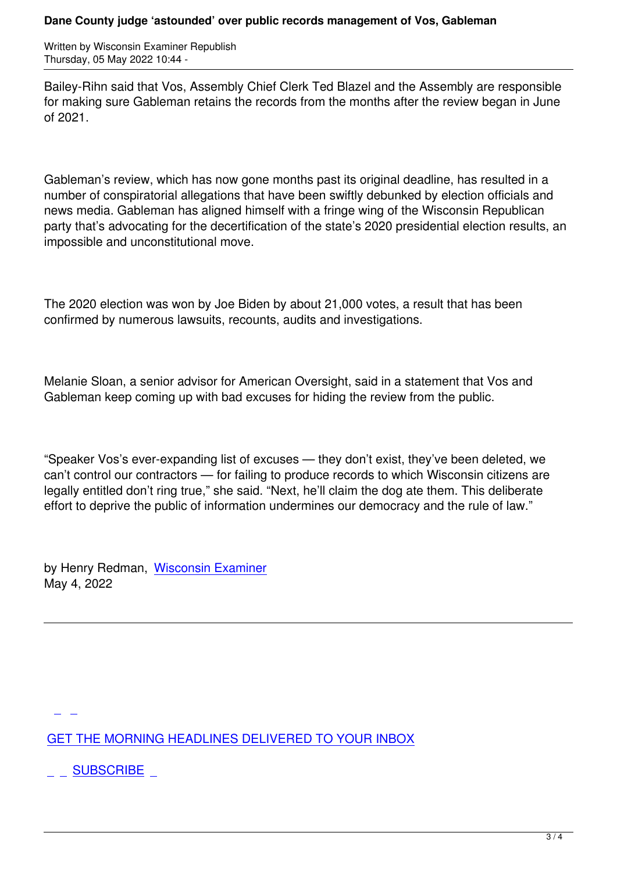Bailey-Rihn said that Vos, Assembly Chief Clerk Ted Blazel and the Assembly are responsible for making sure Gableman retains the records from the months after the review began in June of 2021.

Gableman's review, which has now gone months past its original deadline, has resulted in a number of conspiratorial allegations that have been swiftly debunked by election officials and news media. Gableman has aligned himself with a fringe wing of the Wisconsin Republican party that's advocating for the decertification of the state's 2020 presidential election results, an impossible and unconstitutional move.

The 2020 election was won by Joe Biden by about 21,000 votes, a result that has been confirmed by numerous lawsuits, recounts, audits and investigations.

Melanie Sloan, a senior advisor for American Oversight, said in a statement that Vos and Gableman keep coming up with bad excuses for hiding the review from the public.

"Speaker Vos's ever-expanding list of excuses — they don't exist, they've been deleted, we can't control our contractors — for failing to produce records to which Wisconsin citizens are legally entitled don't ring true," she said. "Next, he'll claim the dog ate them. This deliberate effort to deprive the public of information undermines our democracy and the rule of law."

by Henry Redman, Wisconsin Examiner May 4, 2022

GET THE MORNING HEADLINES DELIVERED TO YOUR INBOX

**[S](subscribe)UBSCRIBE**